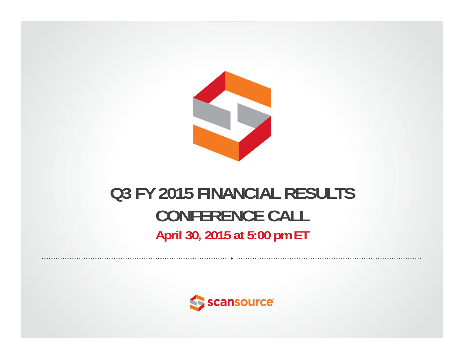

#### **Q3 FY 2015 FINANCIAL RESULTS CONFERENCE CALL April 30, 2015 at 5:00 pm ET**

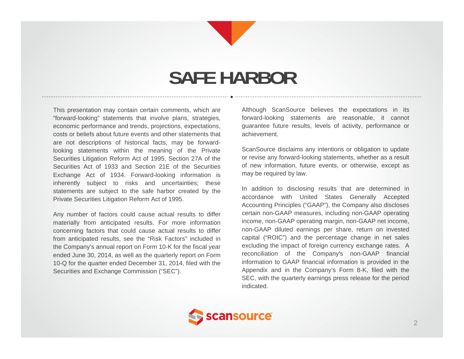

## **SAFE HARBOR**

This presentation may contain certain comments, which are "forward-looking" statements that involve plans, strategies, economic performance and trends, projections, expectations, costs or beliefs about future events and other statements thatare not descriptions of historical facts, may be forwardlooking statements within the meaning of the Private Securities Litigation Reform Act of 1995, Section 27A of the Securities Act of 1933 and Section 21E of the SecuritiesExchange Act of 1934. Forward-looking information is inherently subject to risks and uncertainties; these statements are subject to the safe harbor created by the Private Securities Litigation Reform Act of 1995.

Any number of factors could cause actual results to differ materially from anticipated results. For more information concerning factors that could cause actual results to differ from anticipated results, see the "Risk Factors" included in the Company's annual report on Form 10-K for the fiscal year ended June 30, 2014, as well as the quarterly report on Form 10-Q for the quarter ended December 31, 2014, filed with the Securities and Exchange Commission ("SEC").

Although ScanSource believes the expectations in its forward-looking statements are reasonable, it cannot guarantee future results, levels of activity, performance or achievement.

ScanSource disclaims any intentions or obligation to update or revise any forward-looking statements, whether as <sup>a</sup> result of new information, future events, or otherwise, except as may be required by law.

In addition to disclosing results that are determined in accordance with United States Generally Accepted Accounting Principles ("GAAP"), the Company also discloses certain non-GAAP measures, including non-GAAP operating income, non-GAAP operating margin, non-GAAP net income, non-GAAP diluted earnings per share, return on invested capital ("ROIC") and the percentage change in net sales excluding the impact of foreign currency exchange rates. A reconciliation of the Company's non-GAAP financial information to GAAP financial information is provided in the Appendix and in the Company's Form 8-K, filed with the SEC, with the quarterly earnings press release for the period indicated.

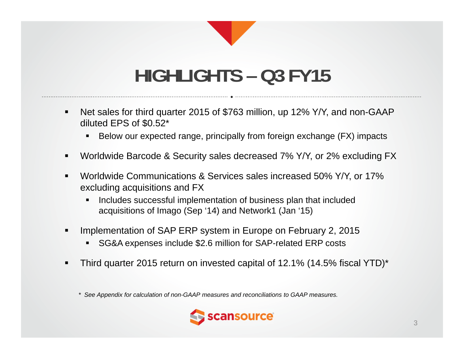

# **HIGHLIGHTS – Q3 FY15**

- $\blacksquare$  Net sales for third quarter 2015 of \$763 million, up 12% Y/Y, and non-GAAP diluted EPS of \$0.52\*
	- Below our expected range, principally from foreign exchange (FX) impacts
- Worldwide Barcode & Security sales decreased 7% Y/Y, or 2% excluding FX
- Worldwide Communications & Services sales increased 50% Y/Y, or 17% excluding acquisitions and FX
	- Includes successful implementation of business plan that included acquisitions of Imago (Sep '14) and Network1 (Jan '15)
- Implementation of SAP ERP system in Europe on February 2, 2015
	- SG&A expenses include \$2.6 million for SAP-related ERP costs
- Third quarter 2015 return on invested capital of 12.1% (14.5% fiscal YTD)\*

*\* See Appendix for calculation of non-GAAP measures and reconciliations to GAAP measures.*

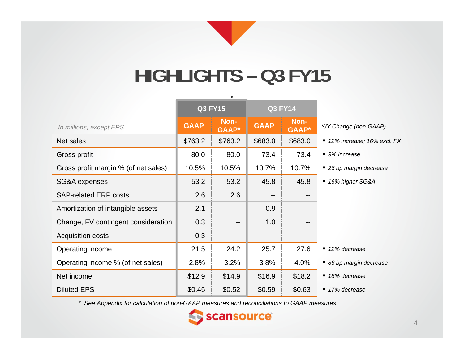

## **HIGHLIGHTS – Q3 FY15**

|                                      | <b>Q3 FY15</b> |                       | <b>Q3 FY14</b>    |                      |                                           |
|--------------------------------------|----------------|-----------------------|-------------------|----------------------|-------------------------------------------|
| In millions, except EPS              | <b>GAAP</b>    | Non-<br><b>GAAP</b> * | <b>GAAP</b>       | Non-<br><b>GAAP*</b> | Y/Y Change (non-GAAP):                    |
| Net sales                            | \$763.2        | \$763.2               | \$683.0           | \$683.0              | $\blacksquare$ 12% increase; 16% excl. FX |
| Gross profit                         | 80.0           | 80.0                  | 73.4              | 73.4                 | ■ 9% increase                             |
| Gross profit margin % (of net sales) | 10.5%          | 10.5%                 | 10.7%             | 10.7%                | ■ 26 bp margin decrease                   |
| SG&A expenses                        | 53.2           | 53.2                  | 45.8              | 45.8                 | ■ 16% higher SG&A                         |
| <b>SAP-related ERP costs</b>         | 2.6            | 2.6                   | $- -$             | $- -$                |                                           |
| Amortization of intangible assets    | 2.1            | $- -$                 | 0.9               | --                   |                                           |
| Change, FV contingent consideration  | 0.3            | --                    | 1.0               | --                   |                                           |
| <b>Acquisition costs</b>             | 0.3            | $- -$                 | $\qquad \qquad -$ |                      |                                           |
| Operating income                     | 21.5           | 24.2                  | 25.7              | 27.6                 | ■ 12% decrease                            |
| Operating income % (of net sales)    | 2.8%           | 3.2%                  | 3.8%              | 4.0%                 | ■ 86 bp margin decrease                   |
| Net income                           | \$12.9         | \$14.9                | \$16.9            | \$18.2               | $\blacksquare$ 18% decrease               |
| <b>Diluted EPS</b>                   | \$0.45         | \$0.52                | \$0.59            | \$0.63               | ■ 17% decrease                            |

*\* See Appendix for calculation of non-GAAP measures and reconciliations to GAAP measures.*

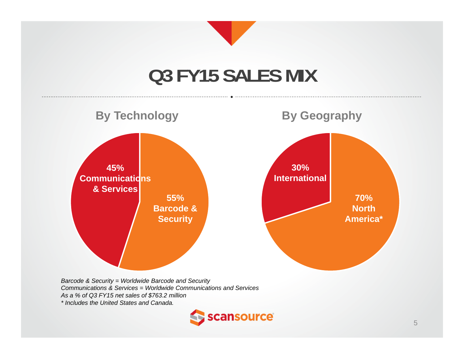

*Barcode & Security = Worldwide Barcode and Security Communications & Services = Worldwide Communications and ServicesAs a % of Q3 FY15 net sales of \$763.2 million \* Includes the United States and Canada.*

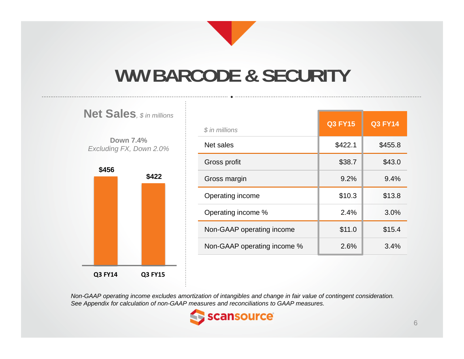

## **WW BARCODE & SECURITY**



**Q3 FY14 Q3 FY15**

| \$ in millions              | <b>Q3 FY15</b> | <b>Q3 FY14</b> |
|-----------------------------|----------------|----------------|
| Net sales                   | \$422.1        | \$455.8        |
| Gross profit                | \$38.7         | \$43.0         |
| Gross margin                | 9.2%           | 9.4%           |
| Operating income            | \$10.3         | \$13.8         |
| Operating income %          | 2.4%           | 3.0%           |
| Non-GAAP operating income   | \$11.0         | \$15.4         |
| Non-GAAP operating income % | 2.6%           | 3.4%           |
|                             |                |                |

*Non-GAAP operating income excludes amortization of intangibles and change in fair value of contingent consideration. See Appendix for calculation of non-GAAP measures and reconciliations to GAAP measures.*

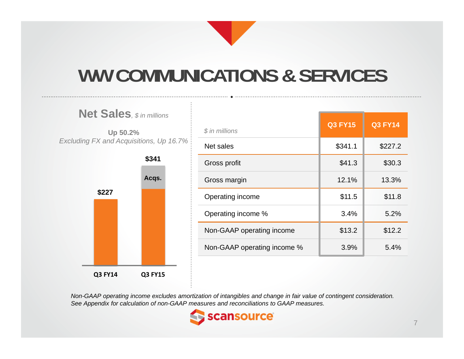# **WW COMMUNICATIONS & SERVICES**



*Non-GAAP operating income excludes amortization of intangibles and change in fair value of contingent consideration. See Appendix for calculation of non-GAAP measures and reconciliations to GAAP measures.*

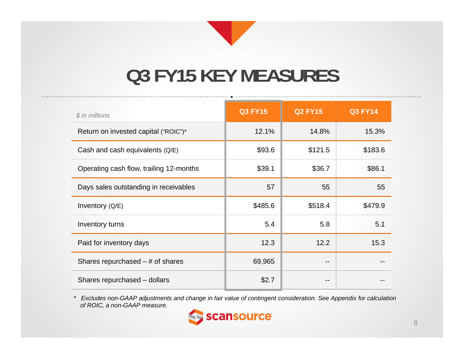

## **Q3 FY15 KEY MEASURES**

| $$$ in millions                         | <b>Q3 FY15</b> | <b>Q2 FY15</b> | <b>Q3 FY14</b> |
|-----------------------------------------|----------------|----------------|----------------|
| Return on invested capital ("ROIC")*    | 12.1%          | 14.8%          | 15.3%          |
| Cash and cash equivalents $(Q/E)$       | \$93.6         | \$121.5        | \$183.6        |
| Operating cash flow, trailing 12-months | \$39.1         | \$36.7         | \$86.1         |
| Days sales outstanding in receivables   | 57             | 55             | 55             |
| Inventory (Q/E)                         | \$485.6        | \$518.4        | \$479.9        |
| Inventory turns                         | 5.4            | 5.8            | 5.1            |
| Paid for inventory days                 | 12.3           | 12.2           | 15.3           |
| Shares repurchased $-$ # of shares      | 69,965         |                |                |
| Shares repurchased - dollars            | \$2.7          |                |                |

*\* Excludes non-GAAP adjustments and change in fair value of contingent consideration. See Appendix for calculation of ROIC, a non-GAAP measure.*

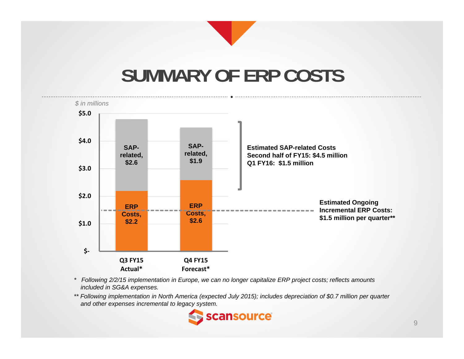## **SUMMARY OF ERP COSTS**



- *\* Following 2/2/15 implementation in Europe, we can no longer capitalize ERP project costs; reflects amounts included in SG&A expenses.*
- *\*\* Following implementation in North America (expected July 2015); includes depreciation of \$0.7 million per quarter and other expenses incremental to legacy system.*

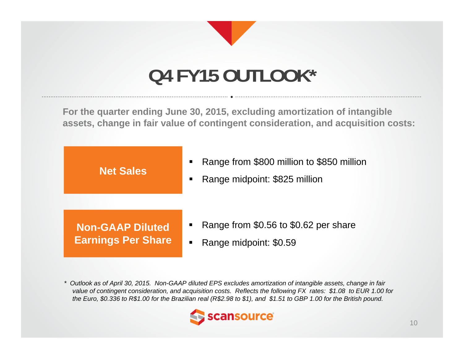

# **Q4 FY15 OUTLOOK\***

**For the quarter ending June 30, 2015, excluding amortization of intangible assets, change in fair value of contingent consideration, and acquisition costs:**



*\* Outlook as of April 30, 2015. Non-GAAP diluted EPS excludes amortization of intangible assets, change in fair value of contingent consideration, and acquisition costs. Reflects the following FX rates: \$1.08 to EUR 1.00 for the Euro, \$0.336 to R\$1.00 for the Brazilian real (R\$2.98 to \$1), and \$1.51 to GBP 1.00 for the British pound.*

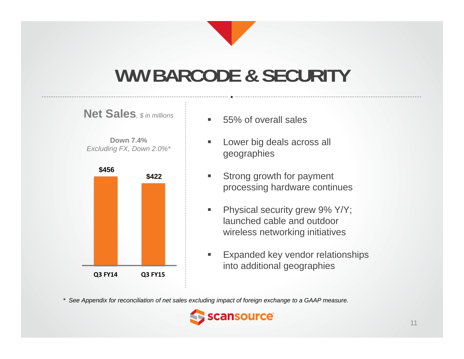

# **WW BARCODE & SECURITY**







- $\blacksquare$ 55% of overall sales
- Lower big deals across all geographies
- $\blacksquare$  Strong growth for payment processing hardware continues
- $\blacksquare$  Physical security grew 9% Y/Y; launched cable and outdoor wireless networking initiatives
- $\blacksquare$  Expanded key vendor relationships into additional geographies

*\* See Appendix for reconciliation of net sales excluding impact of foreign exchange to a GAAP measure.*

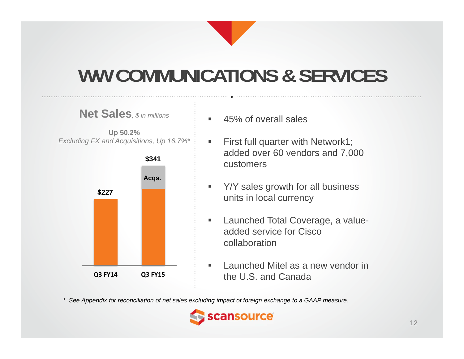# **WW COMMUNICATIONS & SERVICES**



**Net Sales***, \$ in millions*

- Г 45% of overall sales
- $\blacksquare$  First full quarter with Network1; added over 60 vendors and 7,000 customers
- $\blacksquare$  Y/Y sales growth for all business units in local currency
- $\blacksquare$  Launched Total Coverage, a valueadded service for Cisco collaboration
- Launched Mitel as a new vendor in the U.S. and Canada

*\* See Appendix for reconciliation of net sales excluding impact of foreign exchange to a GAAP measure.*

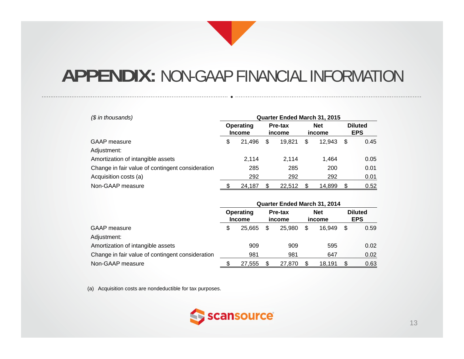| $$$ in thousands)                                | <b>Quarter Ended March 31, 2015</b> |                                                 |    |                      |    |                              |     |      |  |  |  |
|--------------------------------------------------|-------------------------------------|-------------------------------------------------|----|----------------------|----|------------------------------|-----|------|--|--|--|
|                                                  |                                     | Pre-tax<br>Operating<br><b>Income</b><br>income |    | <b>Net</b><br>income |    | <b>Diluted</b><br><b>EPS</b> |     |      |  |  |  |
| <b>GAAP</b> measure                              | \$                                  | 21.496                                          | \$ | 19.821               | \$ | 12.943                       | \$  | 0.45 |  |  |  |
| Adjustment:                                      |                                     |                                                 |    |                      |    |                              |     |      |  |  |  |
| Amortization of intangible assets                |                                     | 2.114                                           |    | 2.114                |    | 1.464                        |     | 0.05 |  |  |  |
| Change in fair value of contingent consideration |                                     | 285                                             |    | 285                  |    | 200                          |     | 0.01 |  |  |  |
| Acquisition costs (a)                            |                                     | 292                                             |    | 292                  |    | 292                          |     | 0.01 |  |  |  |
| Non-GAAP measure                                 |                                     | 24.187                                          | \$ | 22.512               |    | 14,899                       | \$. | 0.52 |  |  |  |

|                                                  | Quarter Ended March 31, 2014 |        |                   |        |                      |        |                              |      |  |  |
|--------------------------------------------------|------------------------------|--------|-------------------|--------|----------------------|--------|------------------------------|------|--|--|
|                                                  | Operating<br><b>Income</b>   |        | Pre-tax<br>income |        | <b>Net</b><br>income |        | <b>Diluted</b><br><b>EPS</b> |      |  |  |
| <b>GAAP</b> measure                              | S                            | 25.665 | \$                | 25,980 | \$                   | 16.949 | \$                           | 0.59 |  |  |
| Adjustment:                                      |                              |        |                   |        |                      |        |                              |      |  |  |
| Amortization of intangible assets                |                              | 909    |                   | 909    |                      | 595    |                              | 0.02 |  |  |
| Change in fair value of contingent consideration |                              | 981    |                   | 981    |                      | 647    |                              | 0.02 |  |  |
| Non-GAAP measure                                 |                              | 27,555 |                   | 27,870 |                      | 18.191 |                              | 0.63 |  |  |

(a) Acquisition costs are nondeductible for tax purposes.

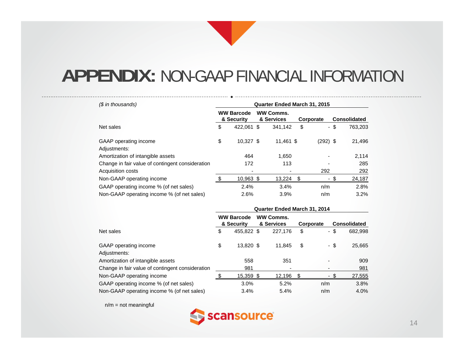| (\$ in thousands)                                | <b>Quarter Ended March 31, 2015</b> |                                                                   |  |           |    |          |                     |         |  |  |  |
|--------------------------------------------------|-------------------------------------|-------------------------------------------------------------------|--|-----------|----|----------|---------------------|---------|--|--|--|
|                                                  |                                     | <b>WW Barcode</b><br><b>WW Comms.</b><br>& Services<br>& Security |  | Corporate |    |          | <b>Consolidated</b> |         |  |  |  |
| Net sales                                        | \$                                  | 422,061 \$                                                        |  | 341,142   | \$ |          | - \$                | 763,203 |  |  |  |
| GAAP operating income<br>Adjustments:            | \$                                  | 10.327 \$                                                         |  | 11,461 \$ |    | (292) \$ |                     | 21,496  |  |  |  |
| Amortization of intangible assets                |                                     | 464                                                               |  | 1.650     |    |          |                     | 2,114   |  |  |  |
| Change in fair value of contingent consideration |                                     | 172                                                               |  | 113       |    |          |                     | 285     |  |  |  |
| Acquisition costs                                |                                     | -                                                                 |  |           |    | 292      |                     | 292     |  |  |  |
| Non-GAAP operating income                        |                                     | 10,963 \$                                                         |  | 13,224    | S  | ۰.       | - \$                | 24,187  |  |  |  |
| GAAP operating income % (of net sales)           |                                     | 2.4%                                                              |  | 3.4%      |    | n/m      |                     | 2.8%    |  |  |  |
| Non-GAAP operating income % (of net sales)       |                                     | 2.6%                                                              |  | 3.9%      |    | n/m      |                     | 3.2%    |  |  |  |

|                                                  | Quarter Ended March 31, 2014 |                                 |  |                                |           |                      |                     |  |  |  |  |
|--------------------------------------------------|------------------------------|---------------------------------|--|--------------------------------|-----------|----------------------|---------------------|--|--|--|--|
|                                                  |                              | <b>WW Barcode</b><br>& Security |  | <b>WW Comms.</b><br>& Services | Corporate |                      | <b>Consolidated</b> |  |  |  |  |
| Net sales                                        | \$                           | 455.822 \$                      |  | 227.176                        | \$        | S.<br>$\blacksquare$ | 682,998             |  |  |  |  |
| GAAP operating income                            | \$                           | 13,820 \$                       |  | 11.845                         | \$        | - \$                 | 25,665              |  |  |  |  |
| Adjustments:                                     |                              |                                 |  |                                |           |                      |                     |  |  |  |  |
| Amortization of intangible assets                |                              | 558                             |  | 351                            |           |                      | 909                 |  |  |  |  |
| Change in fair value of contingent consideration |                              | 981                             |  |                                |           |                      | 981                 |  |  |  |  |
| Non-GAAP operating income                        |                              | 15,359 \$                       |  | 12,196                         |           | - \$                 | 27,555              |  |  |  |  |
| GAAP operating income % (of net sales)           |                              | 3.0%                            |  | 5.2%                           |           | n/m                  | 3.8%                |  |  |  |  |
| Non-GAAP operating income % (of net sales)       |                              | 3.4%                            |  | 5.4%                           |           | n/m                  | 4.0%                |  |  |  |  |

n/m = not meaningful

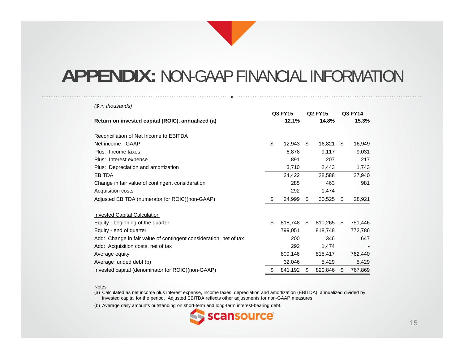| (\$ in thousands)                                                 |                                    |         |    |         |     |         |
|-------------------------------------------------------------------|------------------------------------|---------|----|---------|-----|---------|
|                                                                   | Q3 FY15<br><b>Q2 FY15</b><br>12.1% |         |    |         |     | Q3 FY14 |
| Return on invested capital (ROIC), annualized (a)                 |                                    |         |    | 14.8%   |     | 15.3%   |
|                                                                   |                                    |         |    |         |     |         |
| Reconciliation of Net Income to EBITDA                            |                                    |         |    |         |     |         |
| Net income - GAAP                                                 | \$                                 | 12,943  | \$ | 16,821  | \$. | 16,949  |
| Plus: Income taxes                                                |                                    | 6,878   |    | 9,117   |     | 9,031   |
| Plus: Interest expense                                            |                                    | 891     |    | 207     |     | 217     |
| Plus: Depreciation and amortization                               |                                    | 3,710   |    | 2,443   |     | 1,743   |
| <b>EBITDA</b>                                                     |                                    | 24,422  |    | 28,588  |     | 27,940  |
| Change in fair value of contingent consideration                  |                                    | 285     |    | 463     |     | 981     |
| Acquisition costs                                                 |                                    | 292     |    | 1,474   |     |         |
| Adjusted EBITDA (numerator for ROIC)(non-GAAP)                    | \$                                 | 24,999  | \$ | 30,525  | \$  | 28,921  |
|                                                                   |                                    |         |    |         |     |         |
| <b>Invested Capital Calculation</b>                               |                                    |         |    |         |     |         |
| Equity - beginning of the quarter                                 | \$                                 | 818,748 | \$ | 810,265 | -S  | 751,446 |
| Equity - end of quarter                                           |                                    | 799,051 |    | 818,748 |     | 772,786 |
| Add: Change in fair value of contingent consideration, net of tax |                                    | 200     |    | 346     |     | 647     |
| Add: Acquisition costs, net of tax                                |                                    | 292     |    | 1,474   |     |         |
| Average equity                                                    |                                    | 809,146 |    | 815,417 |     | 762,440 |
| Average funded debt (b)                                           |                                    | 32,046  |    | 5,429   |     | 5,429   |
| Invested capital (denominator for ROIC)(non-GAAP)                 | \$                                 | 841,192 | \$ | 820,846 | \$. | 767,869 |

#### <u>Notes:</u>

(a) Calculated as net income plus interest expense, income taxes, depreciation and amortization (EBITDA), annualized divided by invested capital for the period. Adjusted EBITDA reflects other adjustments for non-GAAP measures.

(b) Average daily amounts outstanding on short-term and long-term interest-bearing debt.